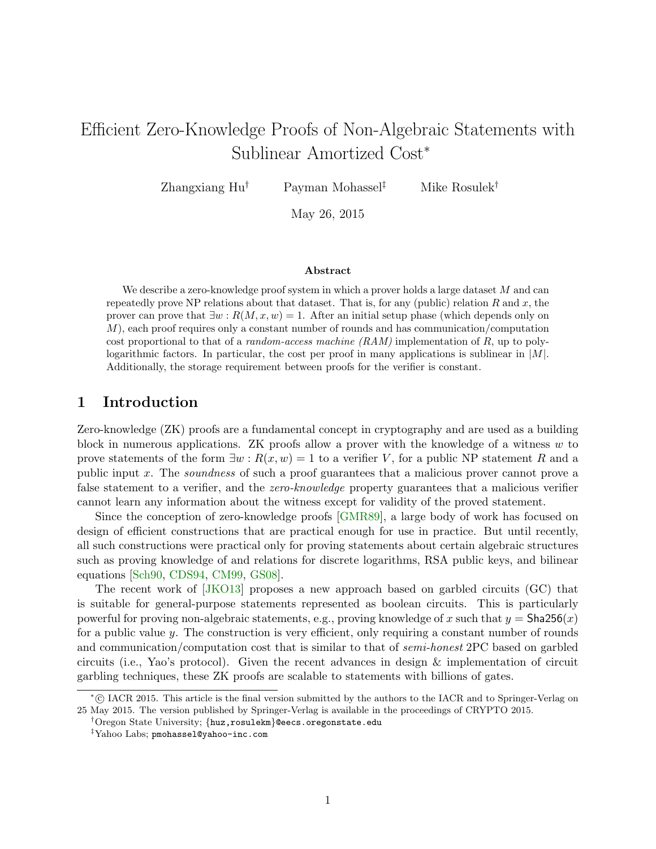# Efficient Zero-Knowledge Proofs of Non-Algebraic Statements with Sublinear Amortized Cost<sup>∗</sup>

Zhangxiang Hu† Payman Mohassel‡ Mike Rosulek†

May 26, 2015

#### Abstract

We describe a zero-knowledge proof system in which a prover holds a large dataset M and can repeatedly prove NP relations about that dataset. That is, for any (public) relation R and x, the prover can prove that  $\exists w : R(M, x, w) = 1$ . After an initial setup phase (which depends only on  $M$ ), each proof requires only a constant number of rounds and has communication/computation cost proportional to that of a *random-access machine*  $(RAM)$  implementation of R, up to polylogarithmic factors. In particular, the cost per proof in many applications is sublinear in  $|M|$ . Additionally, the storage requirement between proofs for the verifier is constant.

# 1 Introduction

Zero-knowledge (ZK) proofs are a fundamental concept in cryptography and are used as a building block in numerous applications. ZK proofs allow a prover with the knowledge of a witness  $w$  to prove statements of the form  $\exists w : R(x, w) = 1$  to a verifier V, for a public NP statement R and a public input x. The soundness of such a proof guarantees that a malicious prover cannot prove a false statement to a verifier, and the *zero-knowledge* property guarantees that a malicious verifier cannot learn any information about the witness except for validity of the proved statement.

Since the conception of zero-knowledge proofs [\[GMR89\]](#page-16-0), a large body of work has focused on design of efficient constructions that are practical enough for use in practice. But until recently, all such constructions were practical only for proving statements about certain algebraic structures such as proving knowledge of and relations for discrete logarithms, RSA public keys, and bilinear equations [\[Sch90,](#page-17-0) [CDS94,](#page-15-0) [CM99,](#page-15-1) [GS08\]](#page-16-1).

The recent work of [\[JKO13\]](#page-16-2) proposes a new approach based on garbled circuits (GC) that is suitable for general-purpose statements represented as boolean circuits. This is particularly powerful for proving non-algebraic statements, e.g., proving knowledge of x such that  $y = \text{Sha256}(x)$ for a public value y. The construction is very efficient, only requiring a constant number of rounds and communication/computation cost that is similar to that of semi-honest 2PC based on garbled circuits (i.e., Yao's protocol). Given the recent advances in design & implementation of circuit garbling techniques, these ZK proofs are scalable to statements with billions of gates.

<sup>∗</sup> c IACR 2015. This article is the final version submitted by the authors to the IACR and to Springer-Verlag on 25 May 2015. The version published by Springer-Verlag is available in the proceedings of CRYPTO 2015.

<sup>†</sup>Oregon State University; {huz,rosulekm}@eecs.oregonstate.edu

<sup>‡</sup>Yahoo Labs; pmohassel@yahoo-inc.com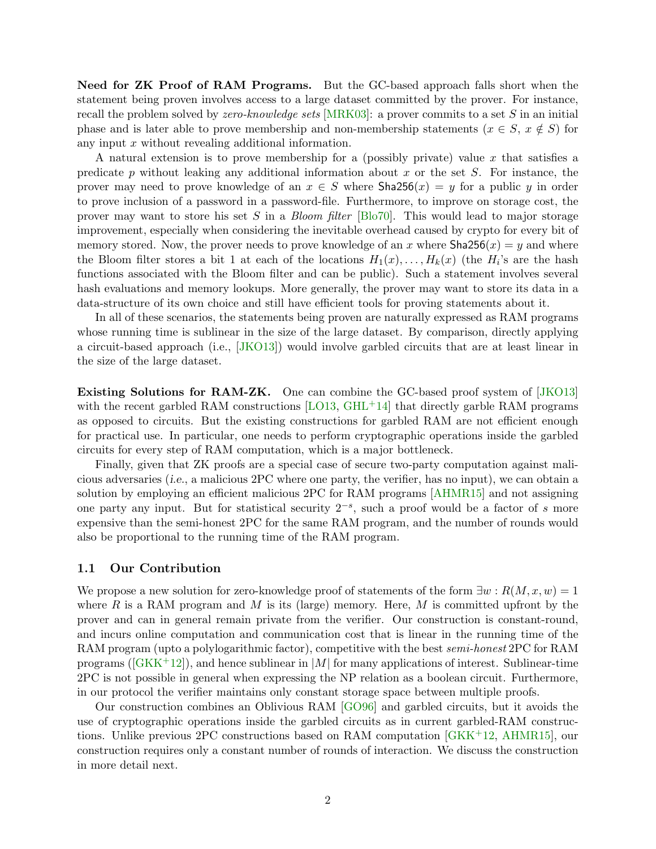Need for ZK Proof of RAM Programs. But the GC-based approach falls short when the statement being proven involves access to a large dataset committed by the prover. For instance, recall the problem solved by *zero-knowledge sets* [\[MRK03\]](#page-17-1): a prover commits to a set S in an initial phase and is later able to prove membership and non-membership statements ( $x \in S$ ,  $x \notin S$ ) for any input x without revealing additional information.

A natural extension is to prove membership for a (possibly private) value  $x$  that satisfies a predicate p without leaking any additional information about x or the set  $S$ . For instance, the prover may need to prove knowledge of an  $x \in S$  where  $\text{Sha256}(x) = y$  for a public y in order to prove inclusion of a password in a password-file. Furthermore, to improve on storage cost, the prover may want to store his set S in a Bloom filter [\[Blo70\]](#page-15-2). This would lead to major storage improvement, especially when considering the inevitable overhead caused by crypto for every bit of memory stored. Now, the prover needs to prove knowledge of an x where  $\text{Sha256}(x) = y$  and where the Bloom filter stores a bit 1 at each of the locations  $H_1(x), \ldots, H_k(x)$  (the  $H_i$ 's are the hash functions associated with the Bloom filter and can be public). Such a statement involves several hash evaluations and memory lookups. More generally, the prover may want to store its data in a data-structure of its own choice and still have efficient tools for proving statements about it.

In all of these scenarios, the statements being proven are naturally expressed as RAM programs whose running time is sublinear in the size of the large dataset. By comparison, directly applying a circuit-based approach (i.e., [\[JKO13\]](#page-16-2)) would involve garbled circuits that are at least linear in the size of the large dataset.

Existing Solutions for RAM-ZK. One can combine the GC-based proof system of [\[JKO13\]](#page-16-2) with the recent garbled RAM constructions  $[LO13, GHL<sup>+</sup>14]$  $[LO13, GHL<sup>+</sup>14]$  $[LO13, GHL<sup>+</sup>14]$  $[LO13, GHL<sup>+</sup>14]$  that directly garble RAM programs as opposed to circuits. But the existing constructions for garbled RAM are not efficient enough for practical use. In particular, one needs to perform cryptographic operations inside the garbled circuits for every step of RAM computation, which is a major bottleneck.

Finally, given that ZK proofs are a special case of secure two-party computation against malicious adversaries (i.e., a malicious 2PC where one party, the verifier, has no input), we can obtain a solution by employing an efficient malicious 2PC for RAM programs [\[AHMR15\]](#page-15-3) and not assigning one party any input. But for statistical security  $2^{-s}$ , such a proof would be a factor of s more expensive than the semi-honest 2PC for the same RAM program, and the number of rounds would also be proportional to the running time of the RAM program.

#### 1.1 Our Contribution

We propose a new solution for zero-knowledge proof of statements of the form  $\exists w : R(M, x, w) = 1$ where R is a RAM program and M is its (large) memory. Here, M is committed upfront by the prover and can in general remain private from the verifier. Our construction is constant-round, and incurs online computation and communication cost that is linear in the running time of the RAM program (upto a polylogarithmic factor), competitive with the best semi-honest 2PC for RAM programs ( $[GKK^+12]$  $[GKK^+12]$ ), and hence sublinear in |M| for many applications of interest. Sublinear-time 2PC is not possible in general when expressing the NP relation as a boolean circuit. Furthermore, in our protocol the verifier maintains only constant storage space between multiple proofs.

Our construction combines an Oblivious RAM [\[GO96\]](#page-16-6) and garbled circuits, but it avoids the use of cryptographic operations inside the garbled circuits as in current garbled-RAM constructions. Unlike previous 2PC constructions based on RAM computation  $(GKK^+12, AHMR15)$ , our construction requires only a constant number of rounds of interaction. We discuss the construction in more detail next.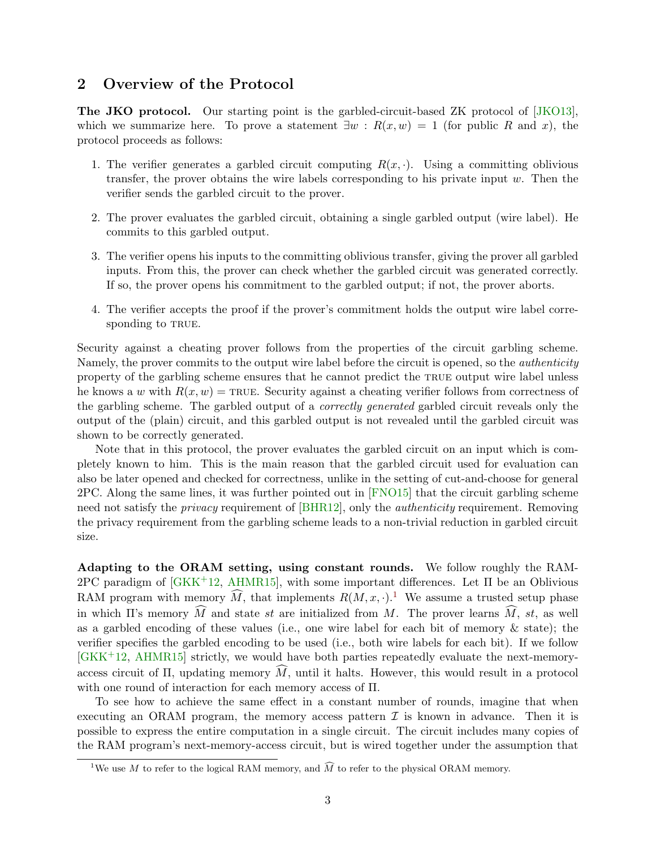# <span id="page-2-1"></span>2 Overview of the Protocol

The JKO protocol. Our starting point is the garbled-circuit-based ZK protocol of [\[JKO13\]](#page-16-2), which we summarize here. To prove a statement  $\exists w : R(x, w) = 1$  (for public R and x), the protocol proceeds as follows:

- 1. The verifier generates a garbled circuit computing  $R(x, \cdot)$ . Using a committing oblivious transfer, the prover obtains the wire labels corresponding to his private input  $w$ . Then the verifier sends the garbled circuit to the prover.
- 2. The prover evaluates the garbled circuit, obtaining a single garbled output (wire label). He commits to this garbled output.
- 3. The verifier opens his inputs to the committing oblivious transfer, giving the prover all garbled inputs. From this, the prover can check whether the garbled circuit was generated correctly. If so, the prover opens his commitment to the garbled output; if not, the prover aborts.
- 4. The verifier accepts the proof if the prover's commitment holds the output wire label corresponding to TRUE.

Security against a cheating prover follows from the properties of the circuit garbling scheme. Namely, the prover commits to the output wire label before the circuit is opened, so the *authenticity* property of the garbling scheme ensures that he cannot predict the true output wire label unless he knows a w with  $R(x, w) = \text{TRUE}$ . Security against a cheating verifier follows from correctness of the garbling scheme. The garbled output of a *correctly generated* garbled circuit reveals only the output of the (plain) circuit, and this garbled output is not revealed until the garbled circuit was shown to be correctly generated.

Note that in this protocol, the prover evaluates the garbled circuit on an input which is completely known to him. This is the main reason that the garbled circuit used for evaluation can also be later opened and checked for correctness, unlike in the setting of cut-and-choose for general 2PC. Along the same lines, it was further pointed out in [\[FNO15\]](#page-16-7) that the circuit garbling scheme need not satisfy the *privacy* requirement of [\[BHR12\]](#page-15-4), only the *authenticity* requirement. Removing the privacy requirement from the garbling scheme leads to a non-trivial reduction in garbled circuit size.

Adapting to the ORAM setting, using constant rounds. We follow roughly the RAM- $2PC$  paradigm of  $[GKK^+12, AHMR15]$  $[GKK^+12, AHMR15]$  $[GKK^+12, AHMR15]$ , with some important differences. Let  $\Pi$  be an Oblivious RAM program with memory  $\widehat{M}$ , that implements  $R(M, x, \cdot)$ .<sup>[1](#page-2-0)</sup> We assume a trusted setup phase in which II's memory  $\widehat{M}$  and state st are initialized from M. The prover learns  $\widehat{M}$ , st, as well as a garbled encoding of these values (i.e., one wire label for each bit of memory  $\&$  state); the verifier specifies the garbled encoding to be used (i.e., both wire labels for each bit). If we follow [\[GKK](#page-16-5)+12, [AHMR15\]](#page-15-3) strictly, we would have both parties repeatedly evaluate the next-memoryaccess circuit of  $\Pi$ , updating memory  $\widehat{M}$ , until it halts. However, this would result in a protocol with one round of interaction for each memory access of Π.

To see how to achieve the same effect in a constant number of rounds, imagine that when executing an ORAM program, the memory access pattern  $\mathcal I$  is known in advance. Then it is possible to express the entire computation in a single circuit. The circuit includes many copies of the RAM program's next-memory-access circuit, but is wired together under the assumption that

<span id="page-2-0"></span><sup>&</sup>lt;sup>1</sup>We use M to refer to the logical RAM memory, and  $\widehat{M}$  to refer to the physical ORAM memory.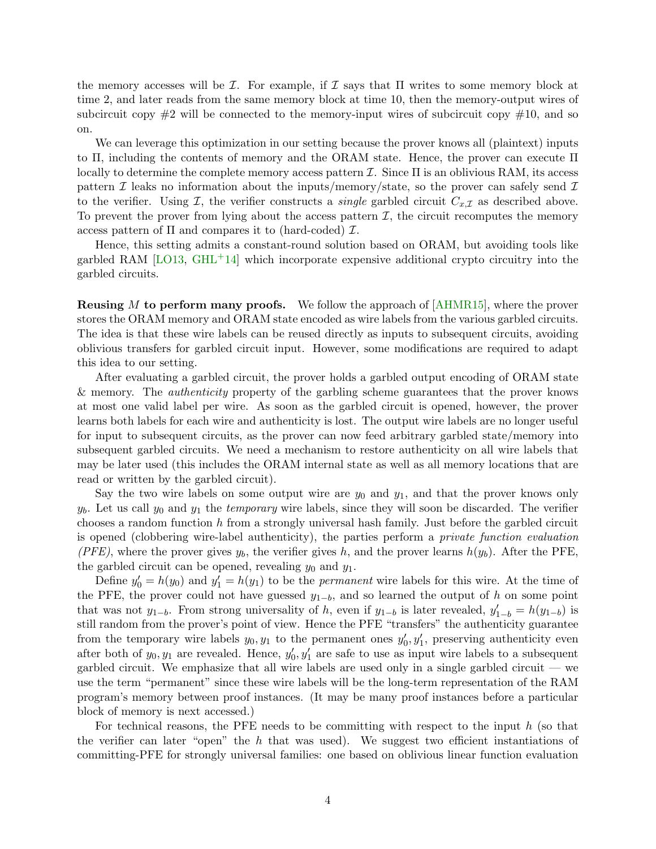the memory accesses will be  $\mathcal I$ . For example, if  $\mathcal I$  says that  $\Pi$  writes to some memory block at time 2, and later reads from the same memory block at time 10, then the memory-output wires of subcircuit copy  $\#2$  will be connected to the memory-input wires of subcircuit copy  $\#10$ , and so on.

We can leverage this optimization in our setting because the prover knows all (plaintext) inputs to Π, including the contents of memory and the ORAM state. Hence, the prover can execute Π locally to determine the complete memory access pattern  $\mathcal I$ . Since  $\Pi$  is an oblivious RAM, its access pattern  $\mathcal I$  leaks no information about the inputs/memory/state, so the prover can safely send  $\mathcal I$ to the verifier. Using  $\mathcal{I}$ , the verifier constructs a *single* garbled circuit  $C_{x,\mathcal{I}}$  as described above. To prevent the prover from lying about the access pattern  $I$ , the circuit recomputes the memory access pattern of  $\Pi$  and compares it to (hard-coded)  $\mathcal{I}$ .

Hence, this setting admits a constant-round solution based on ORAM, but avoiding tools like garbled RAM  $[LO13, GHL^+14]$  $[LO13, GHL^+14]$  $[LO13, GHL^+14]$  $[LO13, GHL^+14]$  which incorporate expensive additional crypto circuitry into the garbled circuits.

**Reusing M to perform many proofs.** We follow the approach of  $[AHMR15]$ , where the prover stores the ORAM memory and ORAM state encoded as wire labels from the various garbled circuits. The idea is that these wire labels can be reused directly as inputs to subsequent circuits, avoiding oblivious transfers for garbled circuit input. However, some modifications are required to adapt this idea to our setting.

After evaluating a garbled circuit, the prover holds a garbled output encoding of ORAM state & memory. The authenticity property of the garbling scheme guarantees that the prover knows at most one valid label per wire. As soon as the garbled circuit is opened, however, the prover learns both labels for each wire and authenticity is lost. The output wire labels are no longer useful for input to subsequent circuits, as the prover can now feed arbitrary garbled state/memory into subsequent garbled circuits. We need a mechanism to restore authenticity on all wire labels that may be later used (this includes the ORAM internal state as well as all memory locations that are read or written by the garbled circuit).

Say the two wire labels on some output wire are  $y_0$  and  $y_1$ , and that the prover knows only  $y<sub>b</sub>$ . Let us call  $y<sub>0</sub>$  and  $y<sub>1</sub>$  the *temporary* wire labels, since they will soon be discarded. The verifier chooses a random function h from a strongly universal hash family. Just before the garbled circuit is opened (clobbering wire-label authenticity), the parties perform a private function evaluation (PFE), where the prover gives  $y_b$ , the verifier gives h, and the prover learns  $h(y_b)$ . After the PFE, the garbled circuit can be opened, revealing  $y_0$  and  $y_1$ .

Define  $y'_0 = h(y_0)$  and  $y'_1 = h(y_1)$  to be the *permanent* wire labels for this wire. At the time of the PFE, the prover could not have guessed  $y_{1-b}$ , and so learned the output of h on some point that was not  $y_{1-b}$ . From strong universality of h, even if  $y_{1-b}$  is later revealed,  $y'_{1-b} = h(y_{1-b})$  is still random from the prover's point of view. Hence the PFE "transfers" the authenticity guarantee from the temporary wire labels  $y_0, y_1$  to the permanent ones  $y'_0, y'_1$ , preserving authenticity even after both of  $y_0, y_1$  are revealed. Hence,  $y'_0, y'_1$  are safe to use as input wire labels to a subsequent garbled circuit. We emphasize that all wire labels are used only in a single garbled circuit — we use the term "permanent" since these wire labels will be the long-term representation of the RAM program's memory between proof instances. (It may be many proof instances before a particular block of memory is next accessed.)

For technical reasons, the PFE needs to be committing with respect to the input  $h$  (so that the verifier can later "open" the h that was used). We suggest two efficient instantiations of committing-PFE for strongly universal families: one based on oblivious linear function evaluation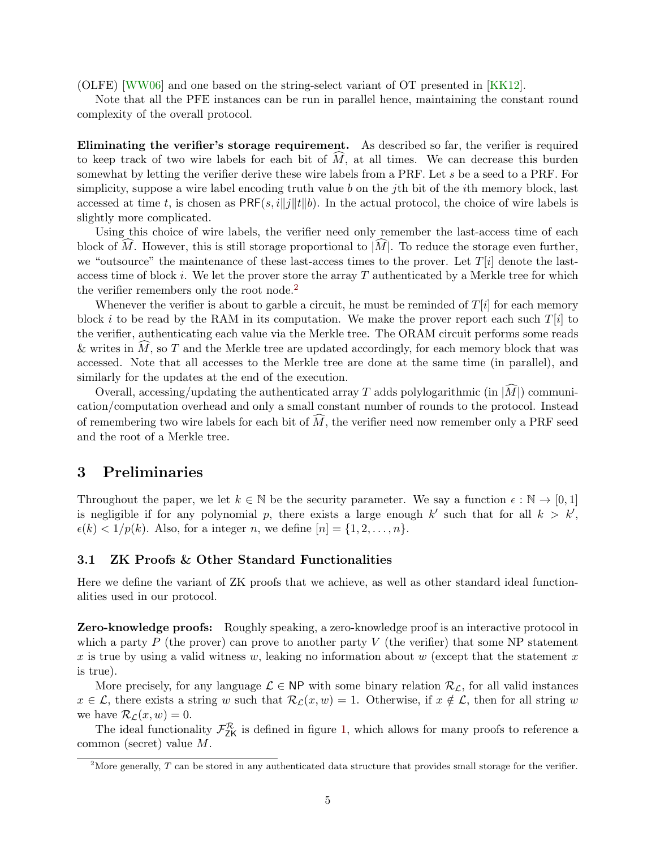(OLFE) [\[WW06\]](#page-17-2) and one based on the string-select variant of OT presented in [\[KK12\]](#page-16-8).

Note that all the PFE instances can be run in parallel hence, maintaining the constant round complexity of the overall protocol.

Eliminating the verifier's storage requirement. As described so far, the verifier is required to keep track of two wire labels for each bit of  $M$ , at all times. We can decrease this burden somewhat by letting the verifier derive these wire labels from a PRF. Let s be a seed to a PRF. For simplicity, suppose a wire label encoding truth value b on the j<sup>th</sup> bit of the *i*th memory block, last accessed at time t, is chosen as  $PRF(s, i||j||t||b)$ . In the actual protocol, the choice of wire labels is slightly more complicated.

Using this choice of wire labels, the verifier need only remember the last-access time of each block of M. However, this is still storage proportional to  $|M|$ . To reduce the storage even further, we "outsource" the maintenance of these last-access times to the prover. Let  $T[i]$  denote the lastaccess time of block  $i$ . We let the prover store the array  $T$  authenticated by a Merkle tree for which the verifier remembers only the root node.<sup>[2](#page-4-0)</sup>

Whenever the verifier is about to garble a circuit, he must be reminded of  $T[i]$  for each memory block i to be read by the RAM in its computation. We make the prover report each such  $T[i]$  to the verifier, authenticating each value via the Merkle tree. The ORAM circuit performs some reads & writes in  $\hat{M}$ , so T and the Merkle tree are updated accordingly, for each memory block that was accessed. Note that all accesses to the Merkle tree are done at the same time (in parallel), and similarly for the updates at the end of the execution.

Overall, accessing/updating the authenticated array T adds polylogarithmic (in  $|\tilde{M}|$ ) communication/computation overhead and only a small constant number of rounds to the protocol. Instead of remembering two wire labels for each bit of  $\widehat{M}$ , the verifier need now remember only a PRF seed and the root of a Merkle tree.

### 3 Preliminaries

Throughout the paper, we let  $k \in \mathbb{N}$  be the security parameter. We say a function  $\epsilon : \mathbb{N} \to [0,1]$ is negligible if for any polynomial p, there exists a large enough  $k'$  such that for all  $k > k'$ ,  $\epsilon(k) < 1/p(k)$ . Also, for a integer n, we define  $[n] = \{1, 2, \ldots, n\}$ .

### 3.1 ZK Proofs & Other Standard Functionalities

Here we define the variant of ZK proofs that we achieve, as well as other standard ideal functionalities used in our protocol.

**Zero-knowledge proofs:** Roughly speaking, a zero-knowledge proof is an interactive protocol in which a party  $P$  (the prover) can prove to another party  $V$  (the verifier) that some NP statement x is true by using a valid witness w, leaking no information about w (except that the statement x is true).

More precisely, for any language  $\mathcal{L} \in \mathsf{NP}$  with some binary relation  $\mathcal{R}_{\mathcal{L}}$ , for all valid instances  $x \in \mathcal{L}$ , there exists a string w such that  $\mathcal{R}_{\mathcal{L}}(x, w) = 1$ . Otherwise, if  $x \notin \mathcal{L}$ , then for all string w we have  $\mathcal{R}_{\mathcal{L}}(x, w) = 0$ .

The ideal functionality  $\mathcal{F}_{ZK}^{\mathcal{R}}$  is defined in figure [1,](#page-5-0) which allows for many proofs to reference a common (secret) value M.

<span id="page-4-0"></span><sup>&</sup>lt;sup>2</sup>More generally,  $T$  can be stored in any authenticated data structure that provides small storage for the verifier.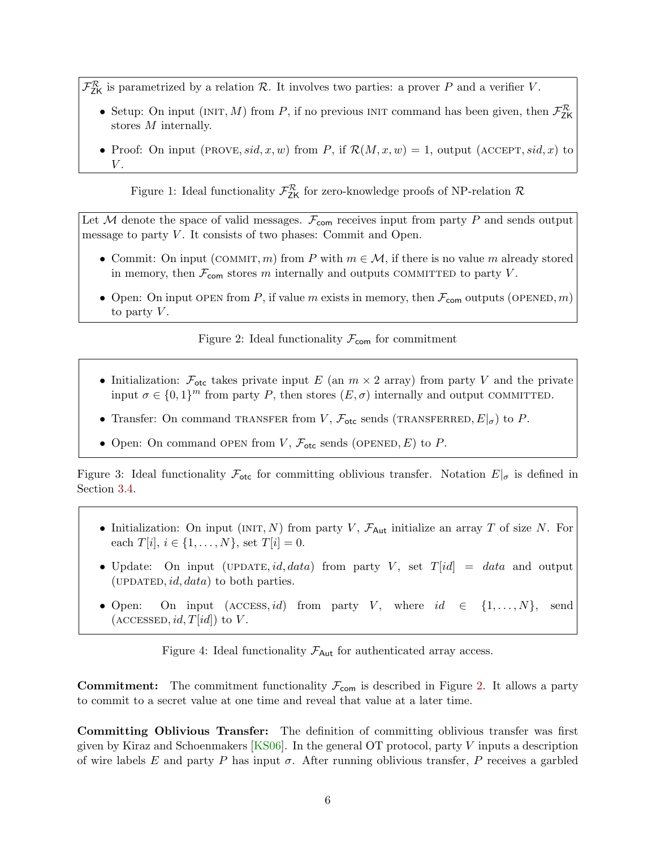- $\mathcal{F}_{ZK}^{\mathcal{R}}$  is parametrized by a relation  $\mathcal{R}$ . It involves two parties: a prover P and a verifier V.
	- Setup: On input (INIT, M) from P, if no previous INIT command has been given, then  $\mathcal{F}_{\mathsf{ZK}}^{\mathcal{R}}$ stores M internally.
	- Proof: On input (PROVE, sid, x, w) from P, if  $\mathcal{R}(M, x, w) = 1$ , output (ACCEPT, sid, x) to  $V.$

<span id="page-5-0"></span>Figure 1: Ideal functionality  $\mathcal{F}_{\text{ZK}}^{\mathcal{R}}$  for zero-knowledge proofs of NP-relation  $\mathcal{R}$ 

Let  $M$  denote the space of valid messages.  $\mathcal{F}_{com}$  receives input from party P and sends output message to party  $V$ . It consists of two phases: Commit and Open.

- Commit: On input (COMMIT, m) from P with  $m \in \mathcal{M}$ , if there is no value m already stored in memory, then  $\mathcal{F}_{com}$  stores m internally and outputs COMMITTED to party V.
- Open: On input OPEN from P, if value m exists in memory, then  $\mathcal{F}_{\text{com}}$  outputs (OPENED, m) to party  $V$ .

<span id="page-5-1"></span>Figure 2: Ideal functionality  $\mathcal{F}_{\text{com}}$  for commitment

- Initialization:  $\mathcal{F}_{\text{etc}}$  takes private input E (an  $m \times 2$  array) from party V and the private input  $\sigma \in \{0,1\}^m$  from party P, then stores  $(E,\sigma)$  internally and output COMMITTED.
- Transfer: On command TRANSFER from V,  $\mathcal{F}_{\text{otc}}$  sends (TRANSFERRED,  $E|_{\sigma}$ ) to P.
- <span id="page-5-2"></span>• Open: On command OPEN from  $V$ ,  $\mathcal{F}_{\text{etc}}$  sends (OPENED, E) to P.

Figure 3: Ideal functionality  $\mathcal{F}_{\text{otc}}$  for committing oblivious transfer. Notation  $E|_{\sigma}$  is defined in Section [3.4.](#page-8-0)

- Initialization: On input (INIT, N) from party V,  $\mathcal{F}_{Aut}$  initialize an array T of size N. For each  $T[i], i \in \{1, ..., N\}$ , set  $T[i] = 0$ .
- Update: On input (UPDATE, id, data) from party V, set  $T(id] = data$  and output (UPDATED,  $id, data$ ) to both parties.
- Open: On input (ACCESS, id) from party V, where  $id \in \{1, ..., N\},\$  $(\text{ACCESSED}, id, T(id])$  to V.

<span id="page-5-3"></span>Figure 4: Ideal functionality  $\mathcal{F}_{\text{Aut}}$  for authenticated array access.

**Commitment:** The commitment functionality  $\mathcal{F}_{com}$  is described in Figure [2.](#page-5-1) It allows a party to commit to a secret value at one time and reveal that value at a later time.

Committing Oblivious Transfer: The definition of committing oblivious transfer was first given by Kiraz and Schoenmakers [\[KS06\]](#page-16-9). In the general OT protocol, party V inputs a description of wire labels E and party P has input  $\sigma$ . After running oblivious transfer, P receives a garbled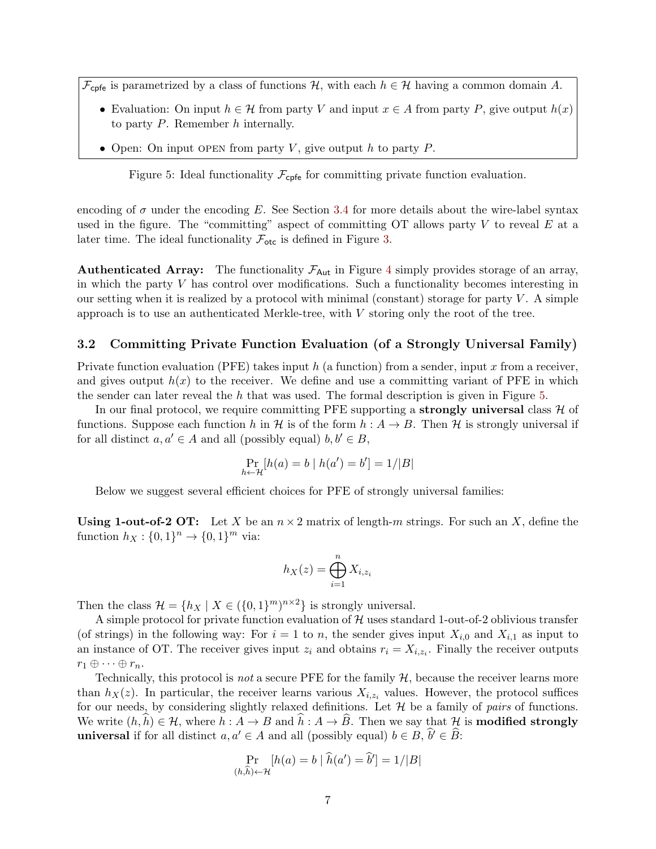$\mathcal{F}_{\text{cpfe}}$  is parametrized by a class of functions  $\mathcal{H}$ , with each  $h \in \mathcal{H}$  having a common domain A.

- Evaluation: On input  $h \in \mathcal{H}$  from party V and input  $x \in A$  from party P, give output  $h(x)$ to party  $P$ . Remember  $h$  internally.
- Open: On input OPEN from party V, give output h to party  $P$ .

<span id="page-6-0"></span>Figure 5: Ideal functionality  $\mathcal{F}_{\text{cpfe}}$  for committing private function evaluation.

encoding of  $\sigma$  under the encoding E. See Section [3.4](#page-8-0) for more details about the wire-label syntax used in the figure. The "committing" aspect of committing  $\overline{OT}$  allows party V to reveal E at a later time. The ideal functionality  $\mathcal{F}_{\text{otc}}$  is defined in Figure [3.](#page-5-2)

**Authenticated Array:** The functionality  $\mathcal{F}_{\text{Aut}}$  in Figure [4](#page-5-3) simply provides storage of an array, in which the party  $V$  has control over modifications. Such a functionality becomes interesting in our setting when it is realized by a protocol with minimal (constant) storage for party  $V$ . A simple approach is to use an authenticated Merkle-tree, with  $V$  storing only the root of the tree.

#### 3.2 Committing Private Function Evaluation (of a Strongly Universal Family)

Private function evaluation (PFE) takes input h (a function) from a sender, input x from a receiver, and gives output  $h(x)$  to the receiver. We define and use a committing variant of PFE in which the sender can later reveal the h that was used. The formal description is given in Figure [5.](#page-6-0)

In our final protocol, we require committing PFE supporting a **strongly universal** class  $\mathcal{H}$  of functions. Suppose each function h in H is of the form  $h : A \to B$ . Then H is strongly universal if for all distinct  $a, a' \in A$  and all (possibly equal)  $b, b' \in B$ ,

$$
\Pr_{h \leftarrow \mathcal{H}}[h(a) = b \mid h(a') = b'] = 1/|B|
$$

Below we suggest several efficient choices for PFE of strongly universal families:

**Using 1-out-of-2 OT:** Let X be an  $n \times 2$  matrix of length-m strings. For such an X, define the function  $h_X: \{0, 1\}^n \to \{0, 1\}^m$  via:

$$
h_X(z) = \bigoplus_{i=1}^n X_{i,z_i}
$$

Then the class  $\mathcal{H} = \{h_X \mid X \in (\{0,1\}^m)^{n \times 2}\}\$ is strongly universal.

A simple protocol for private function evaluation of  $H$  uses standard 1-out-of-2 oblivious transfer (of strings) in the following way: For  $i = 1$  to n, the sender gives input  $X_{i,0}$  and  $X_{i,1}$  as input to an instance of OT. The receiver gives input  $z_i$  and obtains  $r_i = X_{i,z_i}$ . Finally the receiver outputs  $r_1 \oplus \cdots \oplus r_n$ .

Technically, this protocol is *not* a secure PFE for the family  $H$ , because the receiver learns more than  $h_X(z)$ . In particular, the receiver learns various  $X_{i,z_i}$  values. However, the protocol suffices for our needs, by considering slightly relaxed definitions. Let  $H$  be a family of pairs of functions. We write  $(h, \hat{h}) \in \mathcal{H}$ , where  $h : A \to B$  and  $\hat{h} : A \to \hat{B}$ . Then we say that H is **modified strongly** universal if for all distinct  $a, a' \in A$  and all (possibly equal)  $b \in B$ ,  $\hat{b}' \in \hat{B}$ :

$$
\Pr_{(h,\widehat{h}) \leftarrow \mathcal{H}} [h(a) = b \mid \widehat{h}(a') = \widehat{b}'] = 1/|B|
$$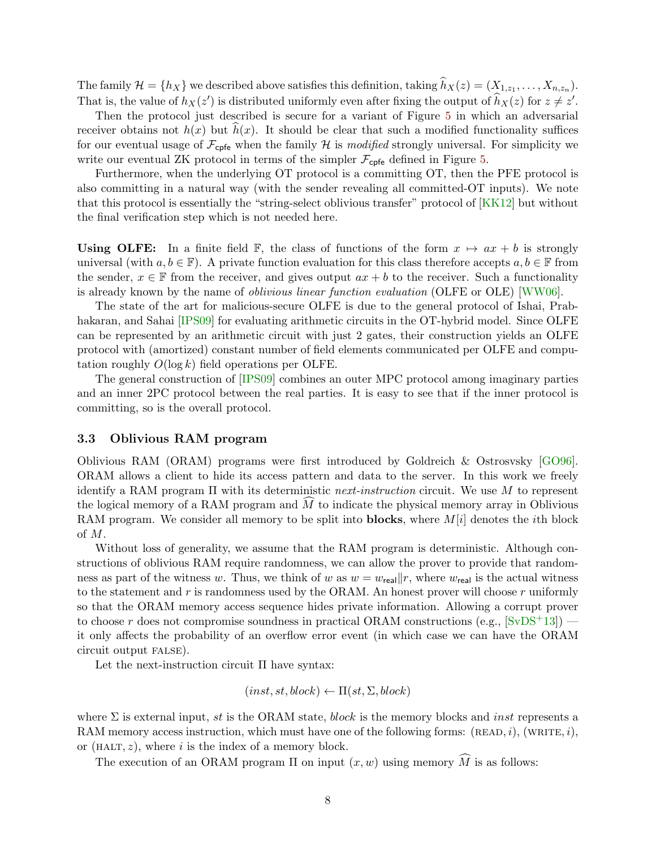The family  $\mathcal{H} = \{h_X\}$  we described above satisfies this definition, taking  $h_X(z) = (X_{1,z_1}, \ldots, X_{n,z_n})$ . That is, the value of  $h_X(z')$  is distributed uniformly even after fixing the output of  $\hat{h}_X(z)$  for  $z \neq z'$ .

Then the protocol just described is secure for a variant of Figure [5](#page-6-0) in which an adversarial receiver obtains not  $h(x)$  but  $h(x)$ . It should be clear that such a modified functionality suffices for our eventual usage of  $\mathcal{F}_{\text{cpfe}}$  when the family H is modified strongly universal. For simplicity we write our eventual ZK protocol in terms of the simpler  $\mathcal{F}_{\text{cofe}}$  defined in Figure [5.](#page-6-0)

Furthermore, when the underlying OT protocol is a committing OT, then the PFE protocol is also committing in a natural way (with the sender revealing all committed-OT inputs). We note that this protocol is essentially the "string-select oblivious transfer" protocol of [\[KK12\]](#page-16-8) but without the final verification step which is not needed here.

Using OLFE: In a finite field F, the class of functions of the form  $x \mapsto ax + b$  is strongly universal (with  $a, b \in \mathbb{F}$ ). A private function evaluation for this class therefore accepts  $a, b \in \mathbb{F}$  from the sender,  $x \in \mathbb{F}$  from the receiver, and gives output  $ax + b$  to the receiver. Such a functionality is already known by the name of oblivious linear function evaluation (OLFE or OLE) [\[WW06\]](#page-17-2).

The state of the art for malicious-secure OLFE is due to the general protocol of Ishai, Prab-hakaran, and Sahai [\[IPS09\]](#page-16-10) for evaluating arithmetic circuits in the OT-hybrid model. Since OLFE can be represented by an arithmetic circuit with just 2 gates, their construction yields an OLFE protocol with (amortized) constant number of field elements communicated per OLFE and computation roughly  $O(\log k)$  field operations per OLFE.

The general construction of [\[IPS09\]](#page-16-10) combines an outer MPC protocol among imaginary parties and an inner 2PC protocol between the real parties. It is easy to see that if the inner protocol is committing, so is the overall protocol.

### 3.3 Oblivious RAM program

Oblivious RAM (ORAM) programs were first introduced by Goldreich & Ostrosvsky [\[GO96\]](#page-16-6). ORAM allows a client to hide its access pattern and data to the server. In this work we freely identify a RAM program  $\Pi$  with its deterministic *next-instruction* circuit. We use M to represent the logical memory of a RAM program and  $M$  to indicate the physical memory array in Oblivious RAM program. We consider all memory to be split into **blocks**, where  $M[i]$  denotes the *i*th block of M.

Without loss of generality, we assume that the RAM program is deterministic. Although constructions of oblivious RAM require randomness, we can allow the prover to provide that randomness as part of the witness w. Thus, we think of w as  $w = w_{\text{real}} || r$ , where  $w_{\text{real}}$  is the actual witness to the statement and  $r$  is randomness used by the ORAM. An honest prover will choose  $r$  uniformly so that the ORAM memory access sequence hides private information. Allowing a corrupt prover to choose r does not compromise soundness in practical ORAM constructions (e.g.,  $[SvDS+13]$  $[SvDS+13]$ ) it only affects the probability of an overflow error event (in which case we can have the ORAM circuit output false).

Let the next-instruction circuit Π have syntax:

$$
(inst, st, block) \leftarrow \Pi(st, \Sigma, block)
$$

where  $\Sigma$  is external input, st is the ORAM state, block is the memory blocks and inst represents a RAM memory access instruction, which must have one of the following forms:  $(READ, i)$ ,  $(WRITE, i)$ , or (HALT,  $z$ ), where i is the index of a memory block.

The execution of an ORAM program  $\Pi$  on input  $(x, w)$  using memory  $\widehat{M}$  is as follows: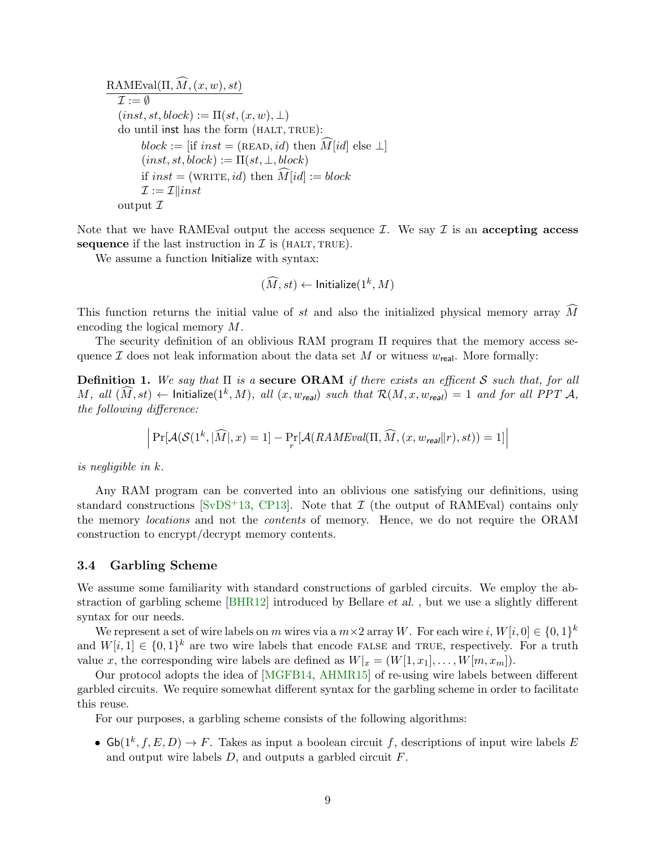$\text{RAMEval}(\Pi, \widehat{M}, (x, w), st)$  $\tau := \emptyset$  $(inst, st, block) := \Pi(st, (x, w), \bot)$ do until inst has the form (HALT, TRUE):  $block := [if \; inst = (READ, id) \; then \; M [id] \; else \; \perp]$  $(inst, st, block) := \Pi(st, \bot, block)$ if  $inst = (WRITE, id)$  then  $\widehat{M}[id] := block$  $\mathcal{I} := \mathcal{I} \parallel inst$ output  $\mathcal I$ 

Note that we have RAMEval output the access sequence  $\mathcal{I}$ . We say  $\mathcal{I}$  is an accepting access sequence if the last instruction in  $\mathcal I$  is (HALT, TRUE).

We assume a function Initialize with syntax:

$$
(\widehat{M}, st) \leftarrow \textsf{Initialize}(1^k, M)
$$

This function returns the initial value of st and also the initialized physical memory array  $\widehat{M}$ encoding the logical memory M.

The security definition of an oblivious RAM program Π requires that the memory access sequence  $\mathcal I$  does not leak information about the data set M or witness  $w_{\text{real}}$ . More formally:

**Definition 1.** We say that  $\Pi$  is a secure **ORAM** if there exists an efficent S such that, for all  $M$ , all  $(\widehat{M}, st) \leftarrow$  Initialize $(1^k, M)$ , all  $(x, w_{\text{real}})$  such that  $\mathcal{R}(M, x, w_{\text{real}}) = 1$  and for all PPT  $\mathcal{A},$ the following difference:

$$
\left| \Pr[\mathcal{A}(\mathcal{S}(1^k,|\widehat{M}|,x)=1] - \Pr_r[\mathcal{A}(RAMEval(\Pi,\widehat{M},(x,w_{\textit{real}}||r),st))=1] \right|
$$

is negligible in k.

Any RAM program can be converted into an oblivious one satisfying our definitions, using standard constructions [\[SvDS](#page-17-3)+13, [CP13\]](#page-16-11). Note that  $\mathcal I$  (the output of RAMEval) contains only the memory locations and not the contents of memory. Hence, we do not require the ORAM construction to encrypt/decrypt memory contents.

#### <span id="page-8-0"></span>3.4 Garbling Scheme

We assume some familiarity with standard constructions of garbled circuits. We employ the abstraction of garbling scheme [\[BHR12\]](#page-15-4) introduced by Bellare et al. , but we use a slightly different syntax for our needs.

We represent a set of wire labels on m wires via a  $m \times 2$  array W. For each wire i,  $W[i, 0] \in \{0, 1\}^k$ and  $W[i, 1] \in \{0, 1\}^k$  are two wire labels that encode FALSE and TRUE, respectively. For a truth value x, the corresponding wire labels are defined as  $W|_{x} = (W[1, x_1], \ldots, W[m, x_m])$ .

Our protocol adopts the idea of [\[MGFB14,](#page-17-4) [AHMR15\]](#page-15-3) of re-using wire labels between different garbled circuits. We require somewhat different syntax for the garbling scheme in order to facilitate this reuse.

For our purposes, a garbling scheme consists of the following algorithms:

•  $\mathsf{Gb}(1^k, f, E, D) \to F$ . Takes as input a boolean circuit f, descriptions of input wire labels E and output wire labels  $D$ , and outputs a garbled circuit  $F$ .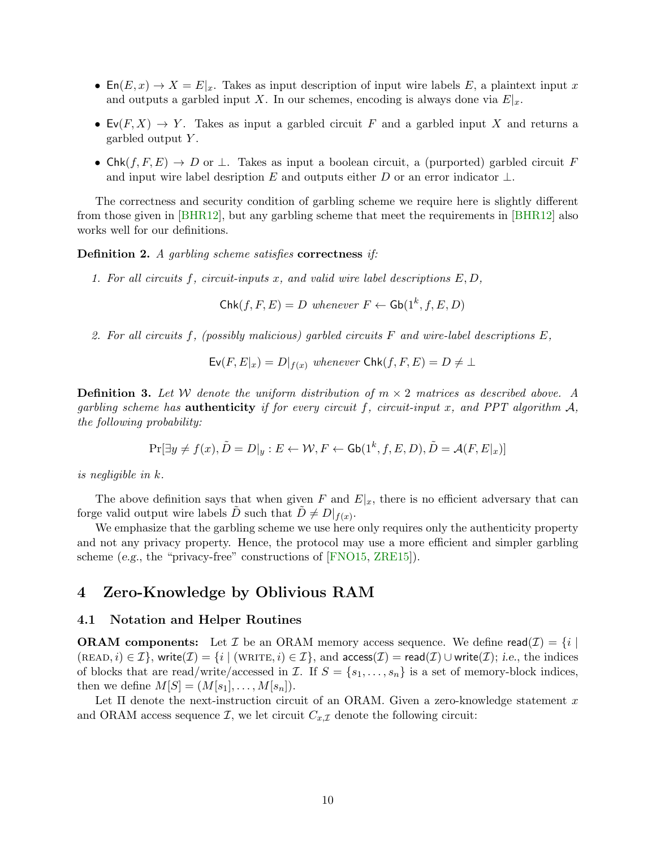- En $(E, x) \to X = E|_x$ . Takes as input description of input wire labels E, a plaintext input x and outputs a garbled input X. In our schemes, encoding is always done via  $E|_x$ .
- $\mathsf{Ev}(F, X) \to Y$ . Takes as input a garbled circuit F and a garbled input X and returns a garbled output  $Y$ .
- Chk $(f, F, E) \to D$  or  $\perp$ . Takes as input a boolean circuit, a (purported) garbled circuit F and input wire label desription E and outputs either D or an error indicator  $\bot$ .

The correctness and security condition of garbling scheme we require here is slightly different from those given in [\[BHR12\]](#page-15-4), but any garbling scheme that meet the requirements in [\[BHR12\]](#page-15-4) also works well for our definitions.

Definition 2. A garbling scheme satisfies correctness if:

1. For all circuits f, circuit-inputs x, and valid wire label descriptions  $E, D$ ,

 $\mathsf{Chk}(f, F, E) = D$  whenever  $F \leftarrow \mathsf{Gb}(1^k, f, E, D)$ 

2. For all circuits f, (possibly malicious) garbled circuits  $F$  and wire-label descriptions  $E$ ,

 $\mathsf{Ev}(F, E|_x) = D|_{f(x)}$  whenever  $\mathsf{Chk}(f, F, E) = D \neq \bot$ 

**Definition 3.** Let W denote the uniform distribution of  $m \times 2$  matrices as described above. A garbling scheme has **authenticity** if for every circuit f, circuit-input x, and PPT algorithm  $A$ , the following probability:

$$
\Pr[\exists y \neq f(x), \tilde{D} = D|_y : E \leftarrow \mathcal{W}, F \leftarrow \mathsf{Gb}(1^k, f, E, D), \tilde{D} = \mathcal{A}(F, E|_x)]
$$

is negligible in k.

The above definition says that when given F and  $E|_x$ , there is no efficient adversary that can forge valid output wire labels  $\tilde{D}$  such that  $\tilde{D} \neq D|_{f(x)}$ .

We emphasize that the garbling scheme we use here only requires only the authenticity property and not any privacy property. Hence, the protocol may use a more efficient and simpler garbling scheme (e.g., the "privacy-free" constructions of [\[FNO15,](#page-16-7) [ZRE15\]](#page-17-5)).

# 4 Zero-Knowledge by Oblivious RAM

### 4.1 Notation and Helper Routines

**ORAM components:** Let  $\mathcal I$  be an ORAM memory access sequence. We define read $(\mathcal I) = \{i \mid$  $(\text{READ}, i) \in \mathcal{I}$ , write $(\mathcal{I}) = \{i \mid (\text{WRITE}, i) \in \mathcal{I}\}$ , and  $\text{access}(\mathcal{I}) = \text{read}(\mathcal{I}) \cup \text{write}(\mathcal{I})$ ; i.e., the indices of blocks that are read/write/accessed in  $\mathcal{I}$ . If  $S = \{s_1, \ldots, s_n\}$  is a set of memory-block indices, then we define  $M[S] = (M[s_1], \ldots, M[s_n]).$ 

Let  $\Pi$  denote the next-instruction circuit of an ORAM. Given a zero-knowledge statement x and ORAM access sequence  $\mathcal{I}$ , we let circuit  $C_{x,\mathcal{I}}$  denote the following circuit: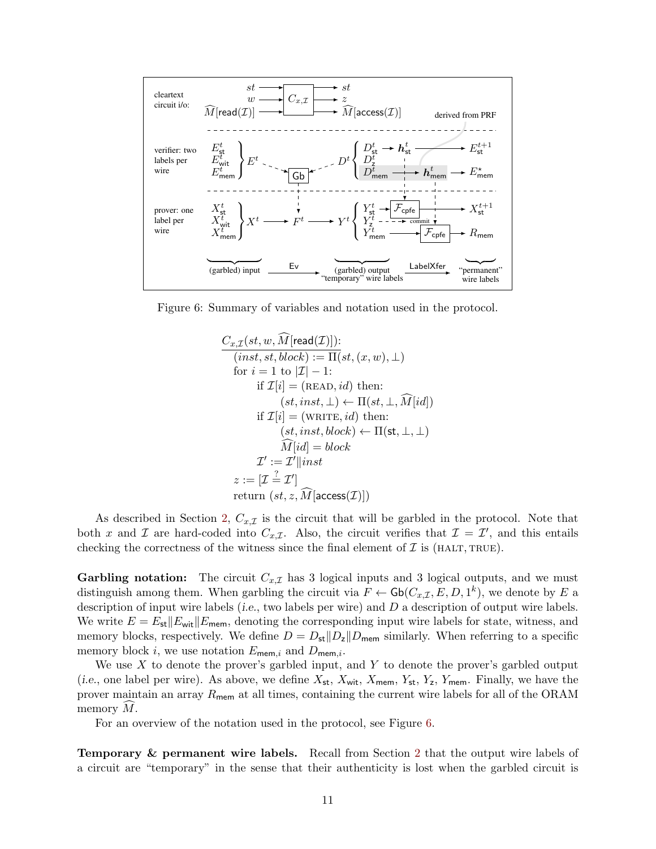

Figure 6: Summary of variables and notation used in the protocol.

<span id="page-10-0"></span>
$$
C_{x,\mathcal{I}}(st, w, \widehat{M}[\text{read}(\mathcal{I})]):(inst, st, block) := \Pi(st, (x, w), \bot)for  $i = 1$  to  $|\mathcal{I}| - 1$ :  
if  $\mathcal{I}[i] = (\text{READ}, id)$  then:  
 $(st, inst, \bot) \leftarrow \Pi(st, \bot, \widehat{M}[id])$   
if  $\mathcal{I}[i] = (\text{WRITE}, id)$  then:  
 $(st, inst, block) \leftarrow \Pi(\text{st}, \bot, \bot)$   
 $\widehat{M}[id] = block$   
 $\mathcal{I}':=\mathcal{I}' || inst$   
 $z := [\mathcal{I} \stackrel{?}{=} \mathcal{I}']$   
return  $(st, z, \widehat{M} [\text{access}(\mathcal{I})])$
$$

As described in Section [2,](#page-2-1)  $C_{x,\mathcal{I}}$  is the circuit that will be garbled in the protocol. Note that both x and X are hard-coded into  $C_{x,\mathcal{I}}$ . Also, the circuit verifies that  $\mathcal{I} = \mathcal{I}'$ , and this entails checking the correctness of the witness since the final element of  $\mathcal I$  is (HALT, TRUE).

**Garbling notation:** The circuit  $C_{x,I}$  has 3 logical inputs and 3 logical outputs, and we must distinguish among them. When garbling the circuit via  $F \leftarrow \mathsf{Gb}(C_{x,\mathcal{I}}, E, D, 1^k)$ , we denote by E a description of input wire labels (i.e., two labels per wire) and D a description of output wire labels. We write  $E = E_{\text{st}}||E_{\text{wit}}||E_{\text{mem}}$ , denoting the corresponding input wire labels for state, witness, and memory blocks, respectively. We define  $D = D_{st}||D_z||D_{mem}$  similarly. When referring to a specific memory block i, we use notation  $E_{\text{mem},i}$  and  $D_{\text{mem},i}$ .

We use  $X$  to denote the prover's garbled input, and  $Y$  to denote the prover's garbled output (i.e., one label per wire). As above, we define  $X_{st}$ ,  $X_{wit}$ ,  $X_{mem}$ ,  $Y_{st}$ ,  $Y_z$ ,  $Y_{mem}$ . Finally, we have the prover maintain an array  $R_{\text{mem}}$  at all times, containing the current wire labels for all of the ORAM memory  $M$ .

For an overview of the notation used in the protocol, see Figure [6.](#page-10-0)

Temporary & permanent wire labels. Recall from Section [2](#page-2-1) that the output wire labels of a circuit are "temporary" in the sense that their authenticity is lost when the garbled circuit is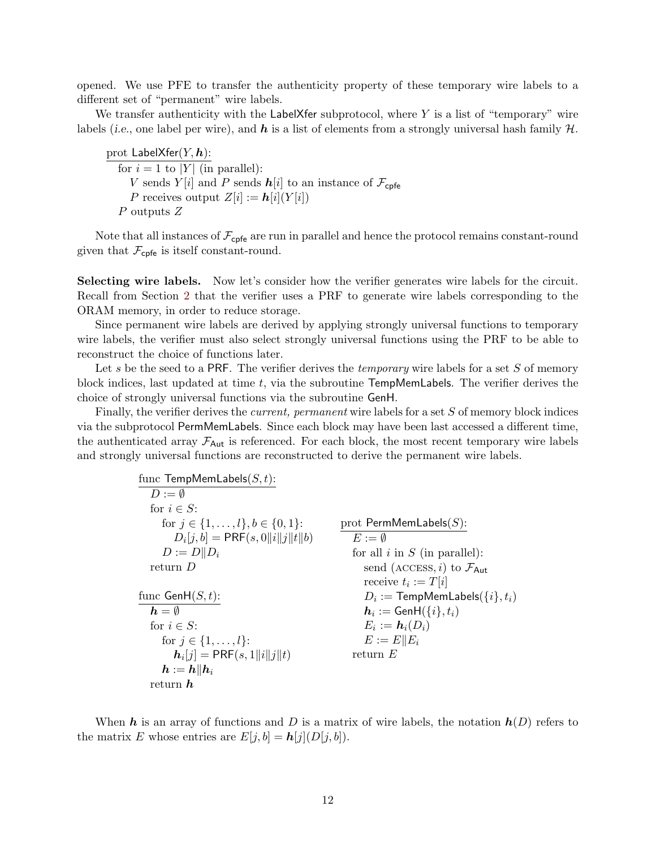opened. We use PFE to transfer the authenticity property of these temporary wire labels to a different set of "permanent" wire labels.

We transfer authenticity with the LabelXfer subprotocol, where  $Y$  is a list of "temporary" wire labels (i.e., one label per wire), and  $h$  is a list of elements from a strongly universal hash family  $H$ .

prot  $\mathsf{LabelXfer}(Y, \boldsymbol{h})$ : for  $i = 1$  to |Y| (in parallel): V sends Y |i| and P sends  $h[i]$  to an instance of  $\mathcal{F}_{\text{cpf}}$ P receives output  $Z[i] := h[i](Y[i])$ P outputs Z

Note that all instances of  $\mathcal{F}_{\text{cpfe}}$  are run in parallel and hence the protocol remains constant-round given that  $\mathcal{F}_{\text{cpfe}}$  is itself constant-round.

Selecting wire labels. Now let's consider how the verifier generates wire labels for the circuit. Recall from Section [2](#page-2-1) that the verifier uses a PRF to generate wire labels corresponding to the ORAM memory, in order to reduce storage.

Since permanent wire labels are derived by applying strongly universal functions to temporary wire labels, the verifier must also select strongly universal functions using the PRF to be able to reconstruct the choice of functions later.

Let s be the seed to a PRF. The verifier derives the *temporary* wire labels for a set  $S$  of memory block indices, last updated at time  $t$ , via the subroutine  $\mathsf{TempMemLabels}$ . The verifier derives the choice of strongly universal functions via the subroutine GenH.

Finally, the verifier derives the *current*, *permanent* wire labels for a set S of memory block indices via the subprotocol PermMemLabels. Since each block may have been last accessed a different time, the authenticated array  $\mathcal{F}_{\text{Aut}}$  is referenced. For each block, the most recent temporary wire labels and strongly universal functions are reconstructed to derive the permanent wire labels.

| func TempMemLabels $(S, t)$ :                  |                                                |
|------------------------------------------------|------------------------------------------------|
| $D := \emptyset$                               |                                                |
| for $i \in S$ :                                |                                                |
| for $j \in \{1, \ldots, l\}, b \in \{0, 1\}$ : | prot PermMemLabels $(S)$ :                     |
| $D_i[j, b] = \text{PRF}(s, 0  i  j  t  b)$     | $E := \emptyset$                               |
| $D := D  D_i$                                  | for all $i$ in $S$ (in parallel):              |
| return $D$                                     | send (ACCESS, i) to $\mathcal{F}_{\text{Aut}}$ |
|                                                | receive $t_i := T[i]$                          |
| func $\mathsf{GenH}(S,t)$ :                    | $D_i :=$ TempMemLabels( $\{i\}, t_i$ )         |
| $h = \emptyset$                                | $h_i := \text{GenH}(\{i\}, t_i)$               |
| for $i \in S$ :                                | $E_i := \mathbf{h}_i(D_i)$                     |
| for $j \in \{1, , l\}$ :                       | $E := E  E_i$                                  |
| $h_i[j] = PRF(s, 1  i  j  t)$                  | return $E$                                     |
| $\bm{h}:=\bm{h}\ \bm{h}_i$                     |                                                |
| return $\bm{h}$                                |                                                |

When h is an array of functions and D is a matrix of wire labels, the notation  $h(D)$  refers to the matrix E whose entries are  $E[j, b] = h[j](D[j, b]).$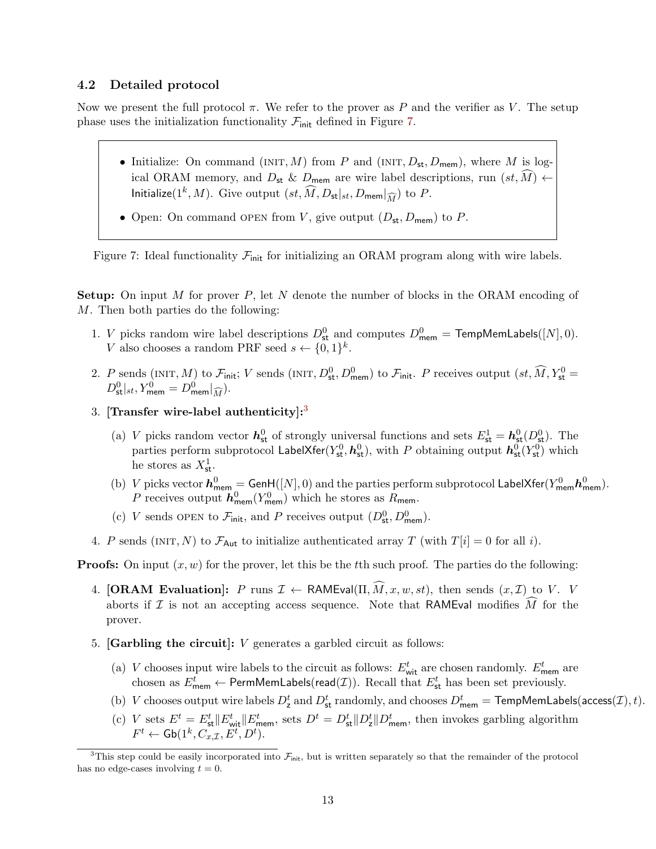### <span id="page-12-2"></span>4.2 Detailed protocol

Now we present the full protocol  $\pi$ . We refer to the prover as P and the verifier as V. The setup phase uses the initialization functionality  $\mathcal{F}_{init}$  defined in Figure [7.](#page-12-0)

- Initialize: On command (INIT, M) from P and (INIT,  $D_{st}$ ,  $D_{mem}$ ), where M is logical ORAM memory, and  $D_{st} \& D_{mem}$  are wire label descriptions, run  $(st, \widehat{M}) \leftarrow$ Initialize(1<sup>k</sup>, M). Give output  $(st, \widehat{M}, D_{\mathsf{st}}|_{st}, D_{\mathsf{mem}}|_{\widehat{M}})$  to P.
- <span id="page-12-0"></span>• Open: On command OPEN from V, give output  $(D_{st}, D_{mem})$  to P.

Figure 7: Ideal functionality  $\mathcal{F}_{init}$  for initializing an ORAM program along with wire labels.

**Setup:** On input M for prover P, let N denote the number of blocks in the ORAM encoding of M. Then both parties do the following:

- 1. *V* picks random wire label descriptions  $D_{st}^0$  and computes  $D_{mem}^0 = \text{TempMemLabels}([N], 0)$ . V also chooses a random PRF seed  $s \leftarrow \{0,1\}^k$ .
- 2. P sends (INIT, M) to  $\mathcal{F}_{init}$ ; V sends (INIT,  $D_{st}^0$ ,  $D_{mem}^0$ ) to  $\mathcal{F}_{init}$ . P receives output  $(st, \widehat{M}, Y_{st}^0 =$  $D^0_{\mathsf{st}}|_{st}, Y^0_{\mathsf{mem}} = D^0_{\mathsf{mem}}|_{\widehat{M}}).$
- [3](#page-12-1). [Transfer wire-label authenticity]: $3$ 
	- (a) V picks random vector  $h_{st}^0$  of strongly universal functions and sets  $E_{st}^1 = h_{st}^0(D_{st}^0)$ . The parties perform subprotocol LabelXfer( $Y_{st}^0$ ,  $h_{st}^0$ ), with  $P$  obtaining output  $\bm{h_{st}^0}(Y_{st}^0)$  which he stores as  $X^1_{\mathsf{st}}$ .
	- (b) V picks vector  $h_{\text{mem}}^0 = \text{GenH}([N], 0)$  and the parties perform subprotocol LabelXfer( $Y_{\text{mem}}^0 h_{\text{mem}}^0$ ). P receives output  $h_{\text{mem}}^0(Y_{\text{mem}}^0)$  which he stores as  $R_{\text{mem}}$ .
	- (c) V sends OPEN to  $\mathcal{F}_{init}$ , and P receives output  $(D_{st}^0, D_{mem}^0)$ .
- 4. P sends (INIT, N) to  $\mathcal{F}_{\text{Aut}}$  to initialize authenticated array T (with  $T[i] = 0$  for all i).

**Proofs:** On input  $(x, w)$  for the prover, let this be the the such proof. The parties do the following:

- 4. [ORAM Evaluation]: P runs  $\mathcal{I} \leftarrow \text{RAMEval}(\Pi, \widehat{M}, x, w, st)$ , then sends  $(x, \mathcal{I})$  to V. V aborts if  $\mathcal I$  is not an accepting access sequence. Note that RAMEval modifies  $\widehat{M}$  for the prover.
- 5. **[Garbling the circuit]:**  $V$  generates a garbled circuit as follows:
	- (a) V chooses input wire labels to the circuit as follows:  $E_{\text{wit}}^t$  are chosen randomly.  $E_{\text{mem}}^t$  are chosen as  $E_{\text{mem}}^t \leftarrow \text{PermMemLabels}(\text{read}(\mathcal{I}))$ . Recall that  $E_{\text{st}}^t$  has been set previously.
	- (b) V chooses output wire labels  $D^t_{\rm z}$  and  $D^t_{\rm st}$  randomly, and chooses  $D^t_{\rm mem} =$  TempMemLabels(access(*I*), *t*).
	- (c) V sets  $E^t = E^t_{\text{st}} || E^t_{\text{wit}} || E^t_{\text{mem}}$ , sets  $D^t = D^t_{\text{st}} || D^t_{\text{mem}}$ , then invokes garbling algorithm  $F^t \leftarrow \mathsf{Gb}(1^k, C_{x, \mathcal{I}}, E^t, D^t).$

<span id="page-12-1"></span><sup>&</sup>lt;sup>3</sup>This step could be easily incorporated into  $\mathcal{F}_{init}$ , but is written separately so that the remainder of the protocol has no edge-cases involving  $t = 0$ .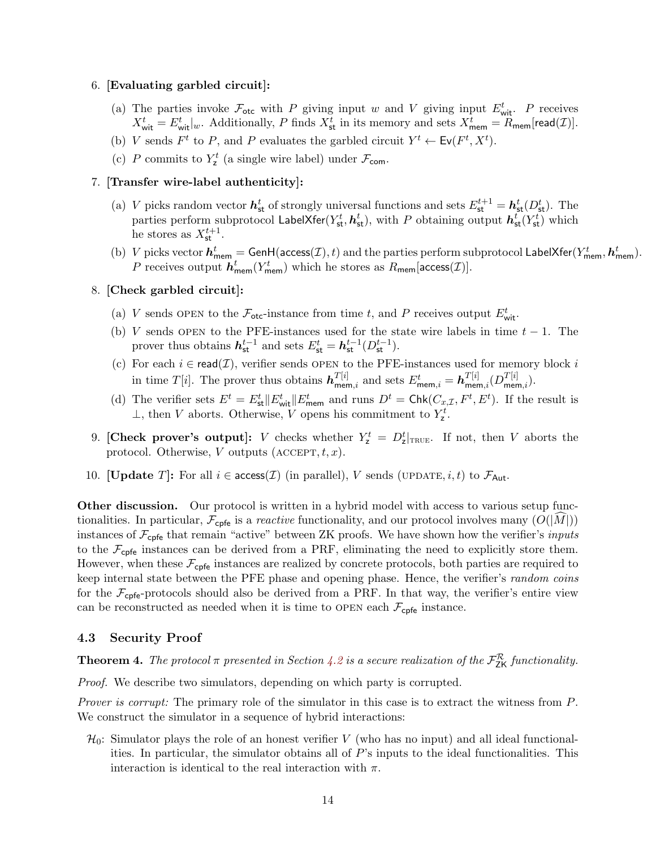### 6. [Evaluating garbled circuit]:

- (a) The parties invoke  $\mathcal{F}_{\text{otc}}$  with P giving input w and V giving input  $E_{\text{wit}}^t$ . P receives  $X_{\text{wit}}^t = E_{\text{wit}}^t|_w$ . Additionally, P finds  $X_{\text{st}}^t$  in its memory and sets  $X_{\text{mem}}^t = R_{\text{mem}}[\text{read}(\mathcal{I})]$ .
- (b) V sends  $F^t$  to P, and P evaluates the garbled circuit  $Y^t \leftarrow Ev(F^t, X^t)$ .
- (c) P commits to  $Y_{\mathsf{z}}^t$  (a single wire label) under  $\mathcal{F}_{\mathsf{com}}$ .

### 7. [Transfer wire-label authenticity]:

- (a) V picks random vector  $h_{\text{st}}^t$  of strongly universal functions and sets  $E_{\text{st}}^{t+1} = h_{\text{st}}^t(D_{\text{st}}^t)$ . The parties perform subprotocol LabelXfer( $Y_{st}^t$ ,  $\bm{h_{st}^t}$ ), with  $P$  obtaining output  $\bm{h_{st}^t}(Y_{st}^t)$  which he stores as  $X_{\text{st}}^{t+1}$ .
- (b) V picks vector  $h_{\text{mem}}^t = \text{GenH}(\text{access}(\mathcal{I}), t)$  and the parties perform subprotocol LabelXfer( $Y_{\text{mem}}^t$ ,  $h_{\text{mem}}^t$ ). P receives output  $\mathbf{h}_{\mathsf{mem}}^t(Y_{\mathsf{mem}}^t)$  which he stores as  $R_{\mathsf{mem}}[\mathsf{access}(\mathcal{I})].$

### 8. [Check garbled circuit]:

- (a) V sends OPEN to the  $\mathcal{F}_{\text{otc}}$ -instance from time t, and P receives output  $E_{\text{wit}}^t$ .
- (b) V sends OPEN to the PFE-instances used for the state wire labels in time  $t 1$ . The prover thus obtains  $h_{\text{st}}^{t-1}$  and sets  $E_{\text{st}}^{t} = h_{\text{st}}^{t-1}(D_{\text{st}}^{t-1}).$
- (c) For each  $i \in \text{read}(\mathcal{I})$ , verifier sends OPEN to the PFE-instances used for memory block i in time  $T[i]$ . The prover thus obtains  $\boldsymbol{h}_{\text{mem},i}^{T[i]}$  and sets  $E_{\text{mem},i}^t = \boldsymbol{h}_{\text{mem},i}^{T[i]}(D_{\text{mem},i}^{T[i]}).$
- (d) The verifier sets  $E^t = E^t_{\text{st}} || E^t_{\text{wit}} || E^t_{\text{mem}}$  and runs  $D^t = \text{Chk}(C_{x,\mathcal{I}}, F^t, E^t)$ . If the result is ⊥, then *V* aborts. Otherwise, *V* opens his commitment to  $Y^t$ .
- 9. [Check prover's output]: V checks whether  $Y_{z}^{t} = D_{z}^{t}|_{\text{TRUE}}$ . If not, then V aborts the protocol. Otherwise, V outputs  $(\text{ACCEPT}, t, x)$ .
- 10. [Update T]: For all  $i \in \text{access}(\mathcal{I})$  (in parallel), V sends (UPDATE,  $i, t$ ) to  $\mathcal{F}_{\text{Aut}}$ .

**Other discussion.** Our protocol is written in a hybrid model with access to various setup functionalities. In particular,  $\mathcal{F}_{\text{cpf}e}$  is a *reactive* functionality, and our protocol involves many  $(O(|M|))$ instances of  $\mathcal{F}_{\text{cpf}e}$  that remain "active" between ZK proofs. We have shown how the verifier's *inputs* to the  $\mathcal{F}_{\text{cpfe}}$  instances can be derived from a PRF, eliminating the need to explicitly store them. However, when these  $\mathcal{F}_{\text{cpfe}}$  instances are realized by concrete protocols, both parties are required to keep internal state between the PFE phase and opening phase. Hence, the verifier's random coins for the  $\mathcal{F}_{\text{cpf}}$ -protocols should also be derived from a PRF. In that way, the verifier's entire view can be reconstructed as needed when it is time to OPEN each  $\mathcal{F}_{\text{cpfe}}$  instance.

#### 4.3 Security Proof

**Theorem 4.** The protocol  $\pi$  presented in Section [4.2](#page-12-2) is a secure realization of the  $\mathcal{F}^{\mathcal{R}}_{2\mathsf{K}}$  functionality.

Proof. We describe two simulators, depending on which party is corrupted.

Prover is corrupt: The primary role of the simulator in this case is to extract the witness from P. We construct the simulator in a sequence of hybrid interactions:

 $\mathcal{H}_0$ : Simulator plays the role of an honest verifier V (who has no input) and all ideal functionalities. In particular, the simulator obtains all of  $P$ 's inputs to the ideal functionalities. This interaction is identical to the real interaction with  $\pi$ .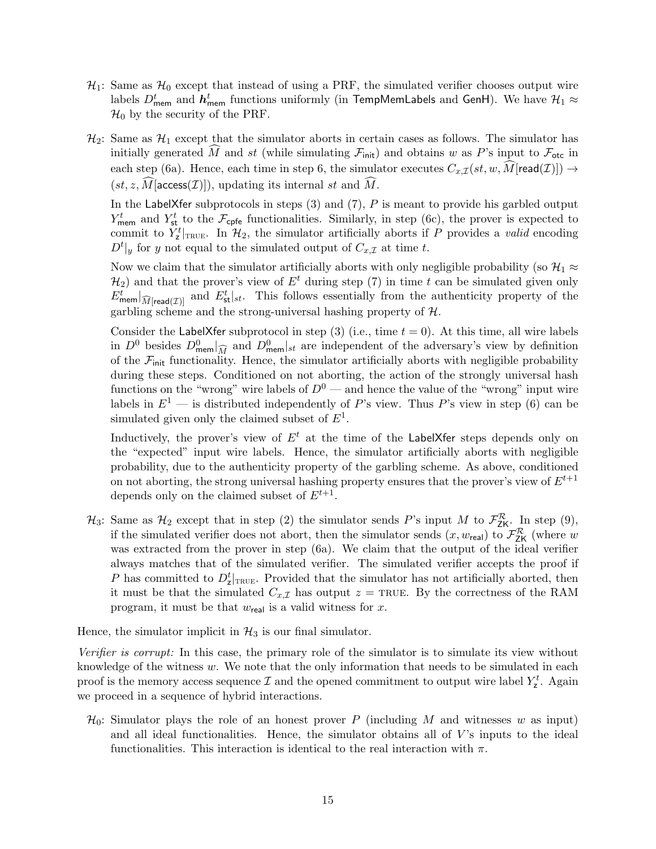- $\mathcal{H}_1$ : Same as  $\mathcal{H}_0$  except that instead of using a PRF, the simulated verifier chooses output wire labels  $D_{\sf mem}^t$  and  $\bm{h}_{\sf mem}^t$  functions uniformly (in TempMemLabels and GenH). We have  ${\cal H}_1 \approx$  $\mathcal{H}_0$  by the security of the PRF.
- $\mathcal{H}_2$ : Same as  $\mathcal{H}_1$  except that the simulator aborts in certain cases as follows. The simulator has initially generated M and st (while simulating  $\mathcal{F}_{\text{init}}$ ) and obtains w as P's input to  $\mathcal{F}_{\text{otc}}$  in each step (6a). Hence, each time in step 6, the simulator executes  $C_{x,\mathcal{I}}(st, w, \tilde{M}$ [read(*I*)])  $\rightarrow$  $(st, z, M$ [access $(\mathcal{I})$ ]), updating its internal st and  $\widehat{M}$ .

In the LabelXfer subprotocols in steps  $(3)$  and  $(7)$ ,  $P$  is meant to provide his garbled output  $Y_{\text{mem}}^t$  and  $Y_{\text{st}}^t$  to the  $\mathcal{F}_{\text{cpfe}}$  functionalities. Similarly, in step (6c), the prover is expected to commit to  $Y_{z}^{t}|_{\text{TRUE}}$ . In  $\mathcal{H}_{2}$ , the simulator artificially aborts if P provides a valid encoding  $D^t|_y$  for y not equal to the simulated output of  $C_{x,\mathcal{I}}$  at time t.

Now we claim that the simulator artificially aborts with only negligible probability (so  $\mathcal{H}_1 \approx$  $\mathcal{H}_2$ ) and that the prover's view of  $E^t$  during step (7) in time t can be simulated given only  $E_{\text{mem}}^t|_{\widehat{M}[\text{read}(\mathcal{I})]}$  and  $E_{\text{st}}^t|_{st}$ . This follows essentially from the authenticity property of the garbling scheme and the strong-universal hashing property of  $H$ .

Consider the LabelXfer subprotocol in step (3) (i.e., time  $t = 0$ ). At this time, all wire labels in  $D^0$  besides  $D_{\text{mem}}^0|_{\widehat{M}}$  and  $D_{\text{mem}}^0|_{st}$  are independent of the adversary's view by definition of the  $\mathcal{F}_{init}$  functionality. Hence, the simulator artificially aborts with negligible probability during these steps. Conditioned on not aborting, the action of the strongly universal hash functions on the "wrong" wire labels of  $D^0$  — and hence the value of the "wrong" input wire labels in  $E^1$  — is distributed independently of P's view. Thus P's view in step (6) can be simulated given only the claimed subset of  $E^1$ .

Inductively, the prover's view of  $E^t$  at the time of the LabelXfer steps depends only on the "expected" input wire labels. Hence, the simulator artificially aborts with negligible probability, due to the authenticity property of the garbling scheme. As above, conditioned on not aborting, the strong universal hashing property ensures that the prover's view of  $E^{t+1}$ depends only on the claimed subset of  $E^{t+1}$ .

 $\mathcal{H}_3$ : Same as  $\mathcal{H}_2$  except that in step (2) the simulator sends P's input M to  $\mathcal{F}_{\mathsf{ZK}}^{\mathcal{R}}$ . In step (9), if the simulated verifier does not abort, then the simulator sends  $(x, w_{\text{real}})$  to  $\mathcal{F}_{\text{ZK}}^{\mathcal{R}}$  (where w was extracted from the prover in step (6a). We claim that the output of the ideal verifier always matches that of the simulated verifier. The simulated verifier accepts the proof if P has committed to  $D_z^t|_{\text{TRUE}}$ . Provided that the simulator has not artificially aborted, then it must be that the simulated  $C_{x,\mathcal{I}}$  has output  $z = \text{TRUE}$ . By the correctness of the RAM program, it must be that  $w_{\text{real}}$  is a valid witness for x.

Hence, the simulator implicit in  $\mathcal{H}_3$  is our final simulator.

Verifier is corrupt: In this case, the primary role of the simulator is to simulate its view without knowledge of the witness  $w$ . We note that the only information that needs to be simulated in each proof is the memory access sequence  $\mathcal I$  and the opened commitment to output wire label  $Y^t_{\mathsf{z}}$ . Again we proceed in a sequence of hybrid interactions.

 $\mathcal{H}_0$ : Simulator plays the role of an honest prover P (including M and witnesses w as input) and all ideal functionalities. Hence, the simulator obtains all of  $V$ 's inputs to the ideal functionalities. This interaction is identical to the real interaction with  $\pi$ .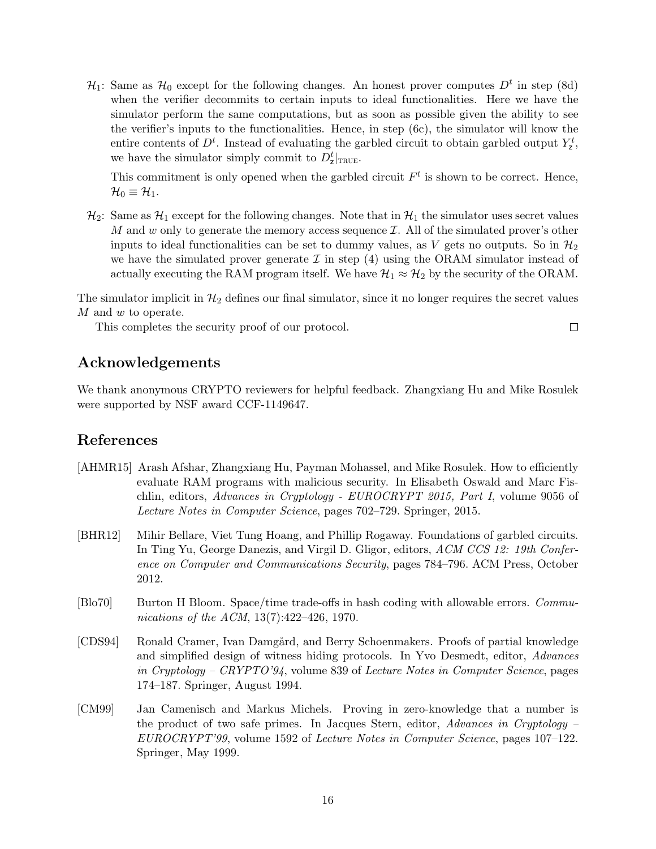$\mathcal{H}_1$ : Same as  $\mathcal{H}_0$  except for the following changes. An honest prover computes  $D^t$  in step (8d) when the verifier decommits to certain inputs to ideal functionalities. Here we have the simulator perform the same computations, but as soon as possible given the ability to see the verifier's inputs to the functionalities. Hence, in step (6c), the simulator will know the entire contents of  $D<sup>t</sup>$ . Instead of evaluating the garbled circuit to obtain garbled output  $Y_{\mathbf{z}}^{t}$ , we have the simulator simply commit to  $D_z^t|_{\text{TRUE}}$ .

This commitment is only opened when the garbled circuit  $F<sup>t</sup>$  is shown to be correct. Hence,  $\mathcal{H}_0 \equiv \mathcal{H}_1.$ 

 $\mathcal{H}_2$ : Same as  $\mathcal{H}_1$  except for the following changes. Note that in  $\mathcal{H}_1$  the simulator uses secret values M and  $w$  only to generate the memory access sequence  $\mathcal{I}$ . All of the simulated prover's other inputs to ideal functionalities can be set to dummy values, as V gets no outputs. So in  $\mathcal{H}_2$ we have the simulated prover generate  $\mathcal I$  in step (4) using the ORAM simulator instead of actually executing the RAM program itself. We have  $\mathcal{H}_1 \approx \mathcal{H}_2$  by the security of the ORAM.

The simulator implicit in  $\mathcal{H}_2$  defines our final simulator, since it no longer requires the secret values M and w to operate.

 $\Box$ 

This completes the security proof of our protocol.

# Acknowledgements

We thank anonymous CRYPTO reviewers for helpful feedback. Zhangxiang Hu and Mike Rosulek were supported by NSF award CCF-1149647.

# References

- <span id="page-15-3"></span>[AHMR15] Arash Afshar, Zhangxiang Hu, Payman Mohassel, and Mike Rosulek. How to efficiently evaluate RAM programs with malicious security. In Elisabeth Oswald and Marc Fischlin, editors, Advances in Cryptology - EUROCRYPT 2015, Part I, volume 9056 of Lecture Notes in Computer Science, pages 702–729. Springer, 2015.
- <span id="page-15-4"></span>[BHR12] Mihir Bellare, Viet Tung Hoang, and Phillip Rogaway. Foundations of garbled circuits. In Ting Yu, George Danezis, and Virgil D. Gligor, editors, ACM CCS 12: 19th Conference on Computer and Communications Security, pages 784–796. ACM Press, October 2012.
- <span id="page-15-2"></span>[Blo70] Burton H Bloom. Space/time trade-offs in hash coding with allowable errors. Communications of the ACM, 13(7):422–426, 1970.
- <span id="page-15-0"></span>[CDS94] Ronald Cramer, Ivan Damgård, and Berry Schoenmakers. Proofs of partial knowledge and simplified design of witness hiding protocols. In Yvo Desmedt, editor, Advances in Cryptology – CRYPTO'94, volume 839 of Lecture Notes in Computer Science, pages 174–187. Springer, August 1994.
- <span id="page-15-1"></span>[CM99] Jan Camenisch and Markus Michels. Proving in zero-knowledge that a number is the product of two safe primes. In Jacques Stern, editor, Advances in Cryptology – EUROCRYPT'99, volume 1592 of Lecture Notes in Computer Science, pages 107–122. Springer, May 1999.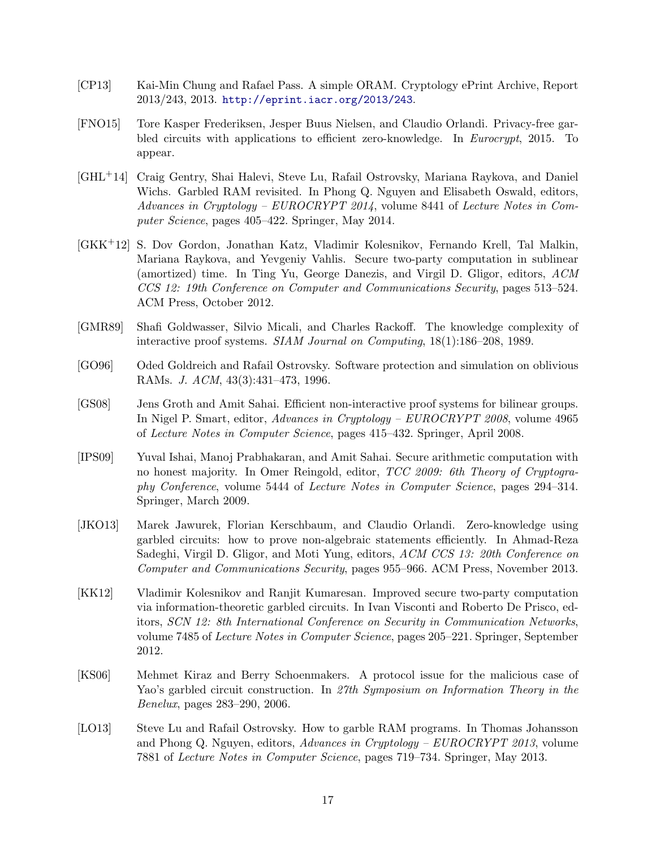- <span id="page-16-11"></span>[CP13] Kai-Min Chung and Rafael Pass. A simple ORAM. Cryptology ePrint Archive, Report 2013/243, 2013. <http://eprint.iacr.org/2013/243>.
- <span id="page-16-7"></span>[FNO15] Tore Kasper Frederiksen, Jesper Buus Nielsen, and Claudio Orlandi. Privacy-free garbled circuits with applications to efficient zero-knowledge. In Eurocrypt, 2015. To appear.
- <span id="page-16-4"></span>[GHL+14] Craig Gentry, Shai Halevi, Steve Lu, Rafail Ostrovsky, Mariana Raykova, and Daniel Wichs. Garbled RAM revisited. In Phong Q. Nguyen and Elisabeth Oswald, editors, Advances in Cryptology – EUROCRYPT 2014, volume 8441 of Lecture Notes in Computer Science, pages 405–422. Springer, May 2014.
- <span id="page-16-5"></span>[GKK+12] S. Dov Gordon, Jonathan Katz, Vladimir Kolesnikov, Fernando Krell, Tal Malkin, Mariana Raykova, and Yevgeniy Vahlis. Secure two-party computation in sublinear (amortized) time. In Ting Yu, George Danezis, and Virgil D. Gligor, editors, ACM CCS 12: 19th Conference on Computer and Communications Security, pages 513–524. ACM Press, October 2012.
- <span id="page-16-0"></span>[GMR89] Shafi Goldwasser, Silvio Micali, and Charles Rackoff. The knowledge complexity of interactive proof systems. SIAM Journal on Computing, 18(1):186–208, 1989.
- <span id="page-16-6"></span>[GO96] Oded Goldreich and Rafail Ostrovsky. Software protection and simulation on oblivious RAMs. J. ACM, 43(3):431–473, 1996.
- <span id="page-16-1"></span>[GS08] Jens Groth and Amit Sahai. Efficient non-interactive proof systems for bilinear groups. In Nigel P. Smart, editor, Advances in Cryptology – EUROCRYPT 2008, volume 4965 of Lecture Notes in Computer Science, pages 415–432. Springer, April 2008.
- <span id="page-16-10"></span>[IPS09] Yuval Ishai, Manoj Prabhakaran, and Amit Sahai. Secure arithmetic computation with no honest majority. In Omer Reingold, editor, TCC 2009: 6th Theory of Cryptography Conference, volume 5444 of Lecture Notes in Computer Science, pages 294–314. Springer, March 2009.
- <span id="page-16-2"></span>[JKO13] Marek Jawurek, Florian Kerschbaum, and Claudio Orlandi. Zero-knowledge using garbled circuits: how to prove non-algebraic statements efficiently. In Ahmad-Reza Sadeghi, Virgil D. Gligor, and Moti Yung, editors, ACM CCS 13: 20th Conference on Computer and Communications Security, pages 955–966. ACM Press, November 2013.
- <span id="page-16-8"></span>[KK12] Vladimir Kolesnikov and Ranjit Kumaresan. Improved secure two-party computation via information-theoretic garbled circuits. In Ivan Visconti and Roberto De Prisco, editors, SCN 12: 8th International Conference on Security in Communication Networks, volume 7485 of Lecture Notes in Computer Science, pages 205–221. Springer, September 2012.
- <span id="page-16-9"></span>[KS06] Mehmet Kiraz and Berry Schoenmakers. A protocol issue for the malicious case of Yao's garbled circuit construction. In 27th Symposium on Information Theory in the Benelux, pages 283–290, 2006.
- <span id="page-16-3"></span>[LO13] Steve Lu and Rafail Ostrovsky. How to garble RAM programs. In Thomas Johansson and Phong Q. Nguyen, editors, Advances in Cryptology – EUROCRYPT 2013, volume 7881 of Lecture Notes in Computer Science, pages 719–734. Springer, May 2013.